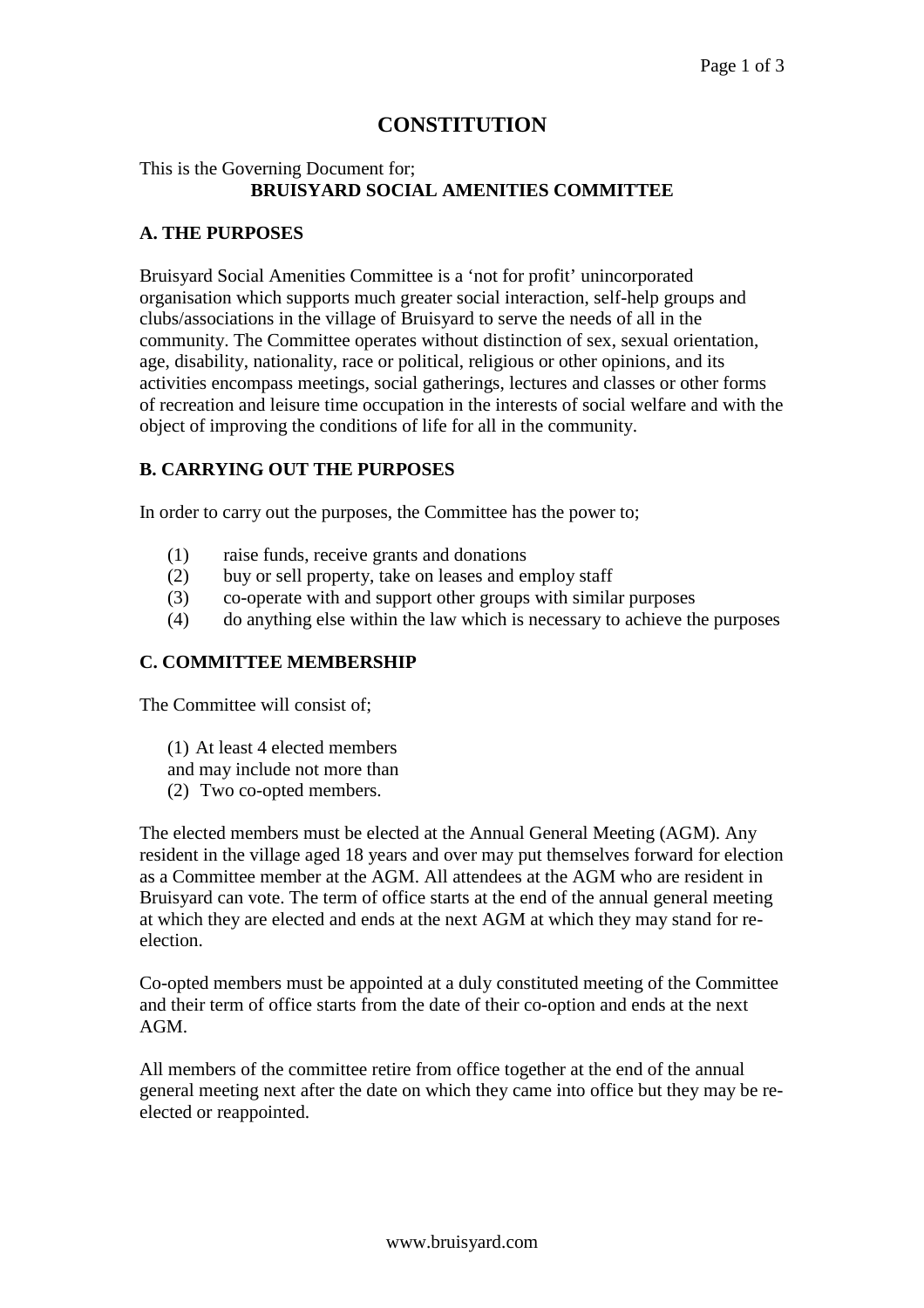# **CONSTITUTION**

# This is the Governing Document for; **BRUISYARD SOCIAL AMENITIES COMMITTEE**

### **A. THE PURPOSES**

Bruisyard Social Amenities Committee is a 'not for profit' unincorporated organisation which supports much greater social interaction, self-help groups and clubs/associations in the village of Bruisyard to serve the needs of all in the community. The Committee operates without distinction of sex, sexual orientation, age, disability, nationality, race or political, religious or other opinions, and its activities encompass meetings, social gatherings, lectures and classes or other forms of recreation and leisure time occupation in the interests of social welfare and with the object of improving the conditions of life for all in the community.

#### **B. CARRYING OUT THE PURPOSES**

In order to carry out the purposes, the Committee has the power to;

- (1) raise funds, receive grants and donations
- (2) buy or sell property, take on leases and employ staff
- (3) co-operate with and support other groups with similar purposes
- (4) do anything else within the law which is necessary to achieve the purposes

#### **C. COMMITTEE MEMBERSHIP**

The Committee will consist of;

- (1) At least 4 elected members
- and may include not more than
- (2) Two co-opted members.

The elected members must be elected at the Annual General Meeting (AGM). Any resident in the village aged 18 years and over may put themselves forward for election as a Committee member at the AGM. All attendees at the AGM who are resident in Bruisyard can vote. The term of office starts at the end of the annual general meeting at which they are elected and ends at the next AGM at which they may stand for reelection.

Co-opted members must be appointed at a duly constituted meeting of the Committee and their term of office starts from the date of their co-option and ends at the next AGM.

All members of the committee retire from office together at the end of the annual general meeting next after the date on which they came into office but they may be reelected or reappointed.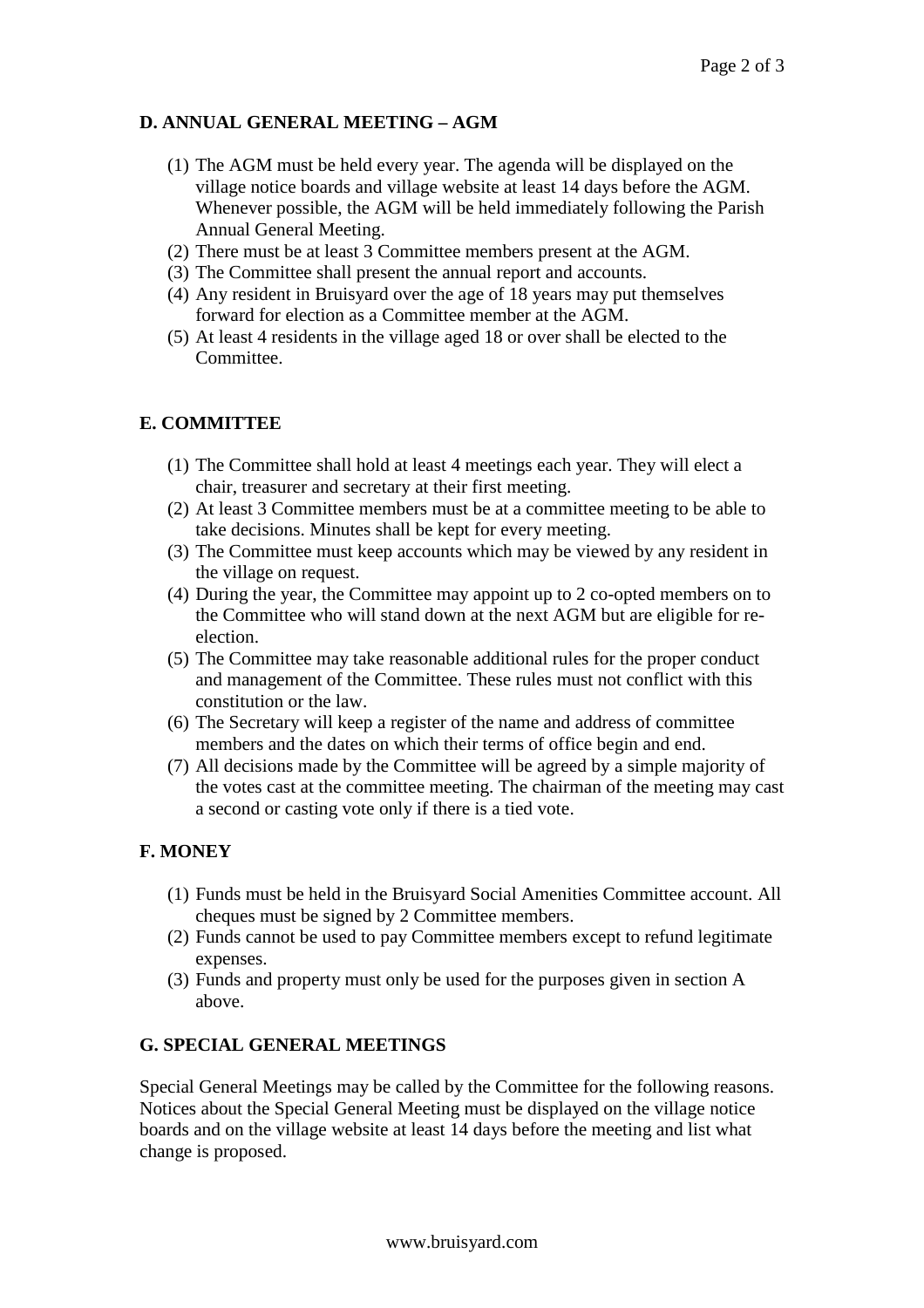# **D. ANNUAL GENERAL MEETING – AGM**

- (1) The AGM must be held every year. The agenda will be displayed on the village notice boards and village website at least 14 days before the AGM. Whenever possible, the AGM will be held immediately following the Parish Annual General Meeting.
- (2) There must be at least 3 Committee members present at the AGM.
- (3) The Committee shall present the annual report and accounts.
- (4) Any resident in Bruisyard over the age of 18 years may put themselves forward for election as a Committee member at the AGM.
- (5) At least 4 residents in the village aged 18 or over shall be elected to the Committee.

# **E. COMMITTEE**

- (1) The Committee shall hold at least 4 meetings each year. They will elect a chair, treasurer and secretary at their first meeting.
- (2) At least 3 Committee members must be at a committee meeting to be able to take decisions. Minutes shall be kept for every meeting.
- (3) The Committee must keep accounts which may be viewed by any resident in the village on request.
- (4) During the year, the Committee may appoint up to 2 co-opted members on to the Committee who will stand down at the next AGM but are eligible for reelection.
- (5) The Committee may take reasonable additional rules for the proper conduct and management of the Committee. These rules must not conflict with this constitution or the law.
- (6) The Secretary will keep a register of the name and address of committee members and the dates on which their terms of office begin and end.
- (7) All decisions made by the Committee will be agreed by a simple majority of the votes cast at the committee meeting. The chairman of the meeting may cast a second or casting vote only if there is a tied vote.

# **F. MONEY**

- (1) Funds must be held in the Bruisyard Social Amenities Committee account. All cheques must be signed by 2 Committee members.
- (2) Funds cannot be used to pay Committee members except to refund legitimate expenses.
- (3) Funds and property must only be used for the purposes given in section A above.

# **G. SPECIAL GENERAL MEETINGS**

Special General Meetings may be called by the Committee for the following reasons. Notices about the Special General Meeting must be displayed on the village notice boards and on the village website at least 14 days before the meeting and list what change is proposed.